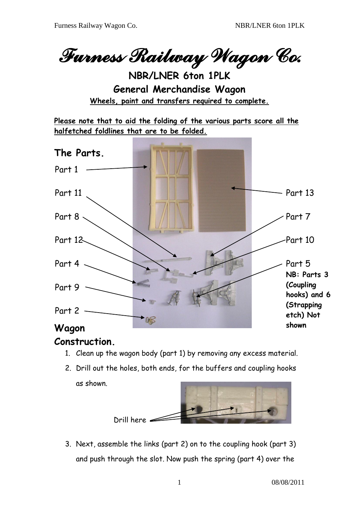*Furness Railway Wagon Co.* 

**NBR/LNER 6ton 1PLK General Merchandise Wagon Wheels, paint and transfers required to complete.**

**Please note that to aid the folding of the various parts score all the halfetched foldlines that are to be folded.** 



## **Construction.**

- 1. Clean up the wagon body (part 1) by removing any excess material.
- 2. Drill out the holes, both ends, for the buffers and coupling hooks as shown.



3. Next, assemble the links (part 2) on to the coupling hook (part 3) and push through the slot. Now push the spring (part 4) over the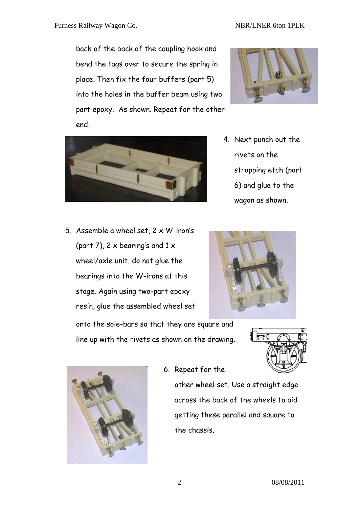back of the back of the coupling hook and bend the tags over to secure the spring in place. Then fix the four buffers (part 5) into the holes in the buffer beam using two part epoxy. As shown. Repeat for the other end.



- 4. Next punch out the rivets on the strapping etch (part 6) and glue to the wagon as shown.
- 5. Assemble a wheel set, 2 x W-iron's (part 7),  $2 \times$  bearing's and  $1 \times$ wheel/axle unit, do not glue the bearings into the W-irons at this stage. Again using two-part epoxy resin, glue the assembled wheel set onto the sole-bars so that they are square and

line up with the rivets as shown on the drawing.





6. Repeat for the

other wheel set. Use a straight edge across the back of the wheels to aid getting these parallel and square to the chassis.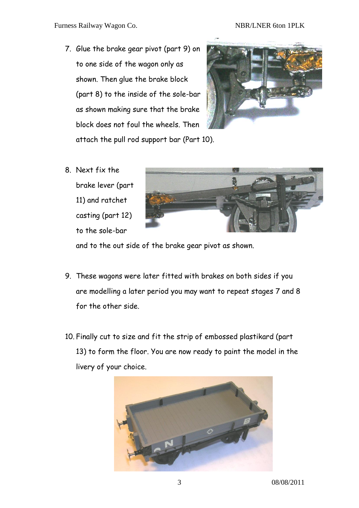7. Glue the brake gear pivot (part 9) on to one side of the wagon only as shown. Then glue the brake block (part 8) to the inside of the sole-bar as shown making sure that the brake block does not foul the wheels. Then attach the pull rod support bar (Part 10).



8. Next fix the brake lever (part 11) and ratchet casting (part 12) to the sole-bar



and to the out side of the brake gear pivot as shown.

- 9. These wagons were later fitted with brakes on both sides if you are modelling a later period you may want to repeat stages 7 and 8 for the other side.
- 10. Finally cut to size and fit the strip of embossed plastikard (part 13) to form the floor. You are now ready to paint the model in the livery of your choice.

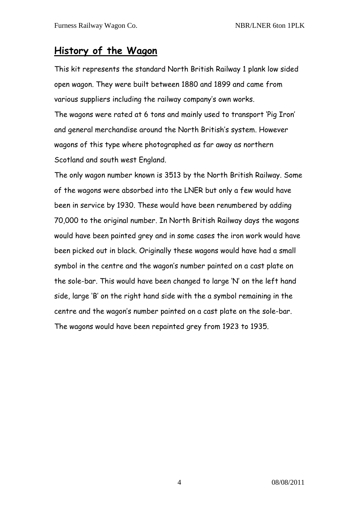## **History of the Wagon**

This kit represents the standard North British Railway 1 plank low sided open wagon. They were built between 1880 and 1899 and came from various suppliers including the railway company's own works. The wagons were rated at 6 tons and mainly used to transport 'Pig Iron' and general merchandise around the North British's system. However wagons of this type where photographed as far away as northern Scotland and south west England.

The only wagon number known is 3513 by the North British Railway. Some of the wagons were absorbed into the LNER but only a few would have been in service by 1930. These would have been renumbered by adding 70,000 to the original number. In North British Railway days the wagons would have been painted grey and in some cases the iron work would have been picked out in black. Originally these wagons would have had a small symbol in the centre and the wagon's number painted on a cast plate on the sole-bar. This would have been changed to large 'N' on the left hand side, large 'B' on the right hand side with the a symbol remaining in the centre and the wagon's number painted on a cast plate on the sole-bar. The wagons would have been repainted grey from 1923 to 1935.

4 08/08/2011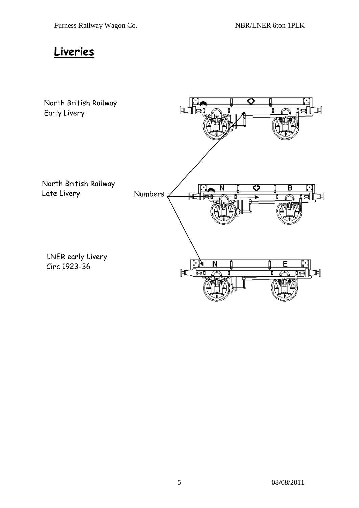## **Liveries**